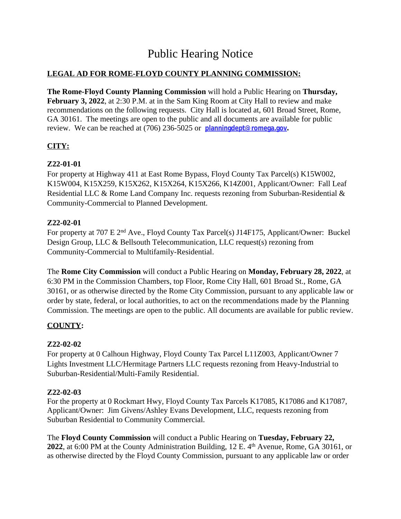# Public Hearing Notice

## **LEGAL AD FOR ROME-FLOYD COUNTY PLANNING COMMISSION:**

**The Rome-Floyd County Planning Commission** will hold a Public Hearing on **Thursday, February 3, 2022**, at 2:30 P.M. at in the Sam King Room at City Hall to review and make recommendations on the following requests. City Hall is located at, 601 Broad Street, Rome, GA 30161. The meetings are open to the public and all documents are available for public review. We can be reached at (706) 236-5025 or **[planningdept@romega.gov](mailto:planningdept@romega.gov).**

## **CITY:**

### **Z22-01-01**

For property at Highway 411 at East Rome Bypass, Floyd County Tax Parcel(s) K15W002, K15W004, K15X259, K15X262, K15X264, K15X266, K14Z001, Applicant/Owner: Fall Leaf Residential LLC & Rome Land Company Inc. requests rezoning from Suburban-Residential & Community-Commercial to Planned Development.

### **Z22-02-01**

For property at 707 E 2<sup>nd</sup> Ave., Floyd County Tax Parcel(s) J14F175, Applicant/Owner: Buckel Design Group, LLC & Bellsouth Telecommunication, LLC request(s) rezoning from Community-Commercial to Multifamily-Residential.

The **Rome City Commission** will conduct a Public Hearing on **Monday, February 28, 2022**, at 6:30 PM in the Commission Chambers, top Floor, Rome City Hall, 601 Broad St., Rome, GA 30161, or as otherwise directed by the Rome City Commission, pursuant to any applicable law or order by state, federal, or local authorities, to act on the recommendations made by the Planning Commission. The meetings are open to the public. All documents are available for public review.

## **COUNTY:**

## **Z22-02-02**

For property at 0 Calhoun Highway, Floyd County Tax Parcel L11Z003, Applicant/Owner 7 Lights Investment LLC/Hermitage Partners LLC requests rezoning from Heavy-Industrial to Suburban-Residential/Multi-Family Residential.

#### **Z22-02-03**

For the property at 0 Rockmart Hwy, Floyd County Tax Parcels K17085, K17086 and K17087, Applicant/Owner: Jim Givens/Ashley Evans Development, LLC, requests rezoning from Suburban Residential to Community Commercial.

The **Floyd County Commission** will conduct a Public Hearing on **Tuesday, February 22, 2022**, at 6:00 PM at the County Administration Building, 12 E. 4th Avenue, Rome, GA 30161, or as otherwise directed by the Floyd County Commission, pursuant to any applicable law or order